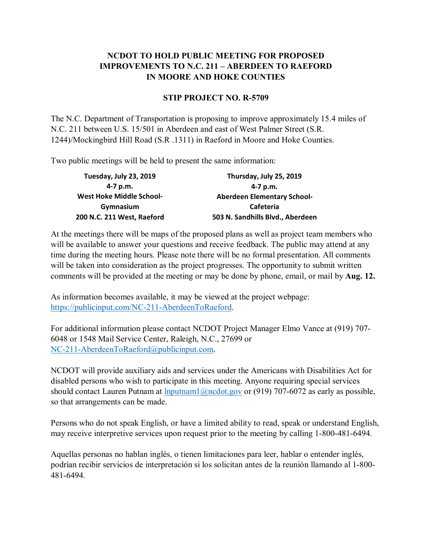## **NCDOT TO HOLD PUBLIC MEETING FOR PROPOSED IMPROVEMENTS TO N.C. 211 – ABERDEEN TO RAEFORD IN MOORE AND HOKE COUNTIES**

## **STIP PROJECT NO. R-5709**

The N.C. Department of Transportation is proposing to improve approximately 15.4 miles of N.C. 211 between U.S. 15/501 in Aberdeen and east of West Palmer Street (S.R. 1244)/Mockingbird Hill Road (S.R .1311) in Raeford in Moore and Hoke Counties.

Two public meetings will be held to present the same information:

| Tuesday, July 23, 2019          | Thursday, July 25, 2019            |
|---------------------------------|------------------------------------|
| 4-7 p.m.                        | 4-7 p.m.                           |
| <b>West Hoke Middle School-</b> | <b>Aberdeen Elementary School-</b> |
| Gymnasium                       | <b>Cafeteria</b>                   |
| 200 N.C. 211 West, Raeford      | 503 N. Sandhills Blvd., Aberdeen   |

At the meetings there will be maps of the proposed plans as well as project team members who will be available to answer your questions and receive feedback. The public may attend at any time during the meeting hours. Please note there will be no formal presentation. All comments will be taken into consideration as the project progresses. The opportunity to submit written comments will be provided at the meeting or may be done by phone, email, or mail by **Aug. 12.**

As information becomes available, it may be viewed at the project webpage: [https://publicinput.com/NC-211-AberdeenToRaeford.](https://publicinput.com/NC-211-AberdeenToRaeford)

For additional information please contact NCDOT Project Manager Elmo Vance at (919) 707- 6048 or 1548 Mail Service Center, Raleigh, N.C., 27699 or [NC-211-AberdeenToRaeford@publicinput.com.](mailto:NC-211-AberdeenToRaeford@publicinput.com)

NCDOT will provide auxiliary aids and services under the Americans with Disabilities Act for disabled persons who wish to participate in this meeting. Anyone requiring special services should contact Lauren Putnam at  $\frac{\text{Input} \cdot \text{Input}}{\text{Input}}$  or (919) 707-6072 as early as possible, so that arrangements can be made.

Persons who do not speak English, or have a limited ability to read, speak or understand English, may receive interpretive services upon request prior to the meeting by calling 1-800-481-6494.

Aquellas personas no hablan inglés, o tienen limitaciones para leer, hablar o entender inglés, podrían recibir servicios de interpretación si los solicitan antes de la reunión llamando al 1-800- 481-6494.